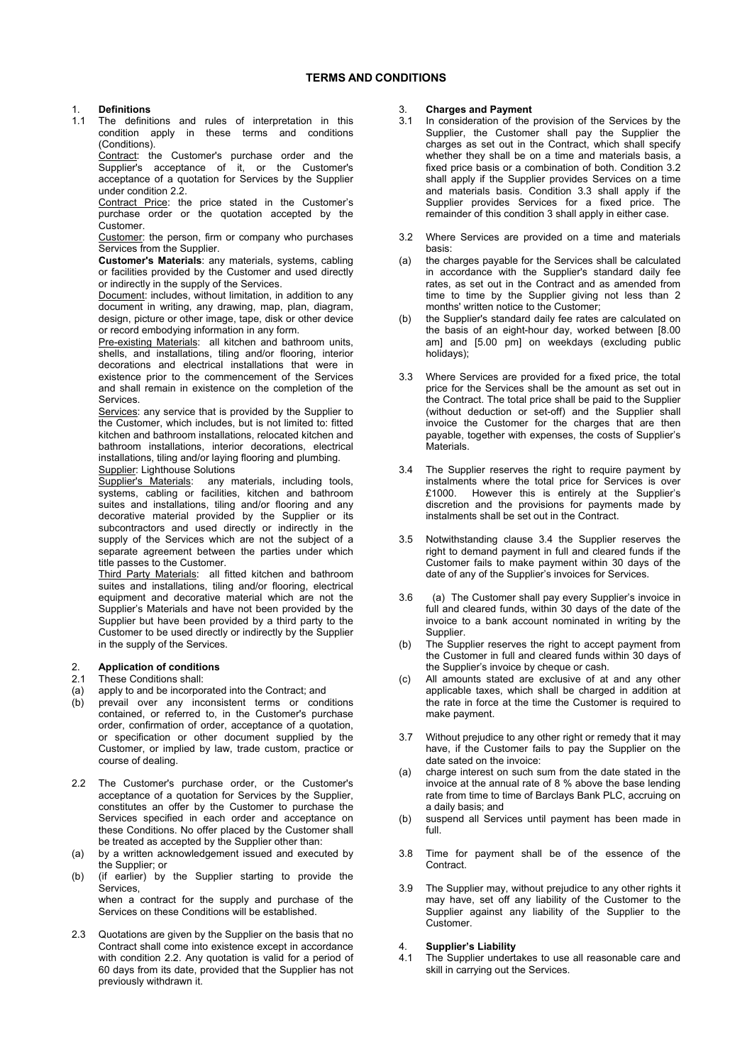# **TERMS AND CONDITIONS**

# 1. **Definitions**

The definitions and rules of interpretation in this condition apply in these terms and conditions (Conditions).

Contract: the Customer's purchase order and the Supplier's acceptance of it, or the Customer's acceptance of a quotation for Services by the Supplier under condition 2.2.

 Contract Price: the price stated in the Customer's purchase order or the quotation accepted by the Customer.

 Customer: the person, firm or company who purchases Services from the Supplier.

**Customer's Materials**: any materials, systems, cabling or facilities provided by the Customer and used directly or indirectly in the supply of the Services.

Document: includes, without limitation, in addition to any document in writing, any drawing, map, plan, diagram, design, picture or other image, tape, disk or other device or record embodying information in any form.

Pre-existing Materials: all kitchen and bathroom units, shells, and installations, tiling and/or flooring, interior decorations and electrical installations that were in existence prior to the commencement of the Services and shall remain in existence on the completion of the Services.

 Services: any service that is provided by the Supplier to the Customer, which includes, but is not limited to: fitted kitchen and bathroom installations, relocated kitchen and bathroom installations, interior decorations, electrical installations, tiling and/or laying flooring and plumbing. Supplier: Lighthouse Solutions

Supplier's Materials: any materials, including tools, systems, cabling or facilities, kitchen and bathroom suites and installations, tiling and/or flooring and any decorative material provided by the Supplier or its subcontractors and used directly or indirectly in the supply of the Services which are not the subject of a separate agreement between the parties under which title passes to the Customer.

 Third Party Materials: all fitted kitchen and bathroom suites and installations, tiling and/or flooring, electrical equipment and decorative material which are not the Supplier's Materials and have not been provided by the Supplier but have been provided by a third party to the Customer to be used directly or indirectly by the Supplier in the supply of the Services.

#### 2. **Application of conditions** These Conditions shall:

- (a) apply to and be incorporated into the Contract; and
- (b) prevail over any inconsistent terms or conditions contained, or referred to, in the Customer's purchase order, confirmation of order, acceptance of a quotation, or specification or other document supplied by the Customer, or implied by law, trade custom, practice or course of dealing.
- 2.2 The Customer's purchase order, or the Customer's acceptance of a quotation for Services by the Supplier, constitutes an offer by the Customer to purchase the Services specified in each order and acceptance on these Conditions. No offer placed by the Customer shall be treated as accepted by the Supplier other than:
- (a) by a written acknowledgement issued and executed by the Supplier; or
- (b) (if earlier) by the Supplier starting to provide the **Services** when a contract for the supply and purchase of the Services on these Conditions will be established.
- 2.3 Quotations are given by the Supplier on the basis that no Contract shall come into existence except in accordance with condition 2.2. Any quotation is valid for a period of 60 days from its date, provided that the Supplier has not previously withdrawn it.

# 3. **Charges and Payment**

- In consideration of the provision of the Services by the Supplier, the Customer shall pay the Supplier the charges as set out in the Contract, which shall specify whether they shall be on a time and materials basis, a fixed price basis or a combination of both. Condition 3.2 shall apply if the Supplier provides Services on a time and materials basis. Condition 3.3 shall apply if the Supplier provides Services for a fixed price. The remainder of this condition 3 shall apply in either case.
- 3.2 Where Services are provided on a time and materials basis:
- (a) the charges payable for the Services shall be calculated in accordance with the Supplier's standard daily fee rates, as set out in the Contract and as amended from time to time by the Supplier giving not less than 2 months' written notice to the Customer;
- (b) the Supplier's standard daily fee rates are calculated on the basis of an eight-hour day, worked between [8.00 am] and [5.00 pm] on weekdays (excluding public holidays);
- 3.3 Where Services are provided for a fixed price, the total price for the Services shall be the amount as set out in the Contract. The total price shall be paid to the Supplier (without deduction or set-off) and the Supplier shall invoice the Customer for the charges that are then payable, together with expenses, the costs of Supplier's Materials.
- 3.4 The Supplier reserves the right to require payment by instalments where the total price for Services is over £1000. However this is entirely at the Supplier's discretion and the provisions for payments made by instalments shall be set out in the Contract.
- 3.5 Notwithstanding clause 3.4 the Supplier reserves the right to demand payment in full and cleared funds if the Customer fails to make payment within 30 days of the date of any of the Supplier's invoices for Services.
- 3.6 (a) The Customer shall pay every Supplier's invoice in full and cleared funds, within 30 days of the date of the invoice to a bank account nominated in writing by the Supplier.
- (b) The Supplier reserves the right to accept payment from the Customer in full and cleared funds within 30 days of the Supplier's invoice by cheque or cash.
- (c) All amounts stated are exclusive of at and any other applicable taxes, which shall be charged in addition at the rate in force at the time the Customer is required to make payment.
- 3.7 Without prejudice to any other right or remedy that it may have, if the Customer fails to pay the Supplier on the date sated on the invoice:
- (a) charge interest on such sum from the date stated in the invoice at the annual rate of 8 % above the base lending rate from time to time of Barclays Bank PLC, accruing on a daily basis; and
- (b) suspend all Services until payment has been made in full.
- 3.8 Time for payment shall be of the essence of the Contract.
- 3.9 The Supplier may, without prejudice to any other rights it may have, set off any liability of the Customer to the Supplier against any liability of the Supplier to the Customer.

## 4. **Supplier's Liability**

4.1 The Supplier undertakes to use all reasonable care and skill in carrying out the Services.